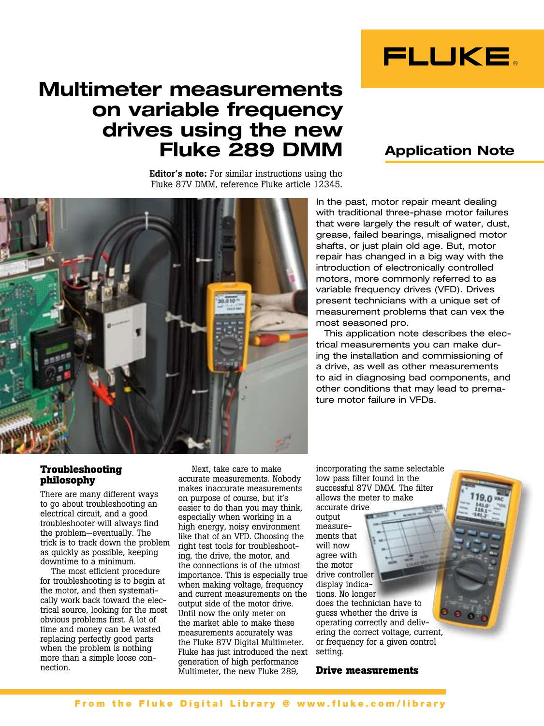

# **Multimeter measurements on variable frequency drives using the new Fluke 289 DMM**

Editor's note: For similar instructions using the Fluke 87V DMM, reference Fluke article 12345.

# **Application Note**



In the past, motor repair meant dealing with traditional three-phase motor failures that were largely the result of water, dust, grease, failed bearings, misaligned motor shafts, or just plain old age. But, motor repair has changed in a big way with the introduction of electronically controlled motors, more commonly referred to as variable frequency drives (VFD). Drives present technicians with a unique set of measurement problems that can vex the most seasoned pro.

This application note describes the electrical measurements you can make during the installation and commissioning of a drive, as well as other measurements to aid in diagnosing bad components, and other conditions that may lead to premature motor failure in VFDs.

### **Troubleshooting philosophy**

There are many different ways to go about troubleshooting an electrical circuit, and a good troubleshooter will always find the problem—eventually. The trick is to track down the problem as quickly as possible, keeping downtime to a minimum.

The most efficient procedure for troubleshooting is to begin at the motor, and then systematically work back toward the electrical source, looking for the most obvious problems first. A lot of time and money can be wasted replacing perfectly good parts when the problem is nothing more than a simple loose connection.

 Next, take care to make accurate measurements. Nobody makes inaccurate measurements on purpose of course, but it's easier to do than you may think, especially when working in a high energy, noisy environment like that of an VFD. Choosing the right test tools for troubleshooting, the drive, the motor, and the connections is of the utmost importance. This is especially true when making voltage, frequency and current measurements on the output side of the motor drive. Until now the only meter on the market able to make these measurements accurately was the Fluke 87V Digital Multimeter. Fluke has just introduced the next setting. generation of high performance Multimeter, the new Fluke 289,

incorporating the same selectable low pass filter found in the successful 87V DMM. The filter allows the meter to make

accurate drive output measurements that will now agree with the motor drive controller display indications. No longer does the technician have to

guess whether the drive is operating correctly and delivering the correct voltage, current, or frequency for a given control

### **Drive measurements**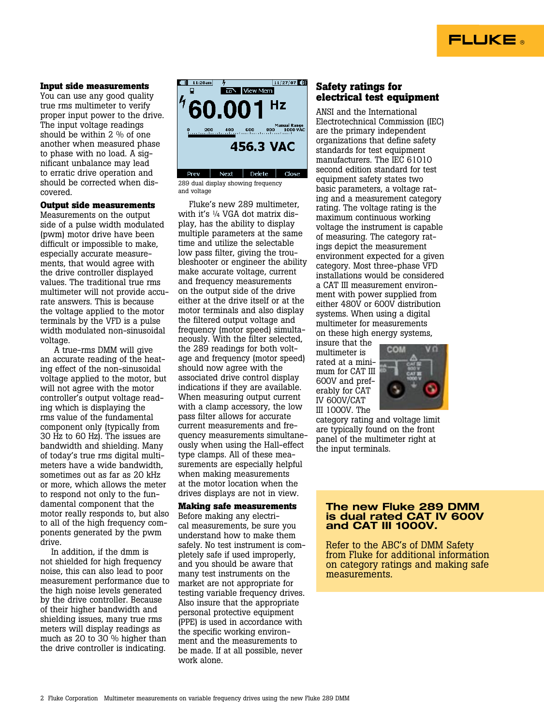# **FLUKE**

#### **Input side measurements**

You can use any good quality true rms multimeter to verify proper input power to the drive. The input voltage readings should be within 2 % of one another when measured phase to phase with no load. A significant unbalance may lead to erratic drive operation and should be corrected when discovered.

#### **Output side measurements**

Measurements on the output side of a pulse width modulated (pwm) motor drive have been difficult or impossible to make, especially accurate measurements, that would agree with the drive controller displayed values. The traditional true rms multimeter will not provide accurate answers. This is because the voltage applied to the motor terminals by the VFD is a pulse width modulated non-sinusoidal voltage.

 A true-rms DMM will give an accurate reading of the heating effect of the non-sinusoidal voltage applied to the motor, but will not agree with the motor controller's output voltage reading which is displaying the rms value of the fundamental component only (typically from 30 Hz to 60 Hz). The issues are bandwidth and shielding. Many of today's true rms digital multimeters have a wide bandwidth, sometimes out as far as 20 kHz or more, which allows the meter to respond not only to the fundamental component that the motor really responds to, but also to all of the high frequency components generated by the pwm drive.

In addition, if the dmm is not shielded for high frequency noise, this can also lead to poor measurement performance due to the high noise levels generated by the drive controller. Because of their higher bandwidth and shielding issues, many true rms meters will display readings as much as 20 to 30 % higher than the drive controller is indicating.



289 dual display showing frequency and voltage

Fluke's new 289 multimeter, with it's 1/4 VGA dot matrix display, has the ability to display multiple parameters at the same time and utilize the selectable low pass filter, giving the troubleshooter or engineer the ability make accurate voltage, current and frequency measurements on the output side of the drive either at the drive itself or at the motor terminals and also display the filtered output voltage and frequency (motor speed) simultaneously. With the filter selected, the 289 readings for both voltage and frequency (motor speed) should now agree with the associated drive control display indications if they are available. When measuring output current with a clamp accessory, the low pass filter allows for accurate current measurements and frequency measurements simultaneously when using the Hall-effect type clamps. All of these measurements are especially helpful when making measurements at the motor location when the drives displays are not in view.

### **Making safe measurements**

Before making any electrical measurements, be sure you understand how to make them safely. No test instrument is completely safe if used improperly, and you should be aware that many test instruments on the market are not appropriate for testing variable frequency drives. Also insure that the appropriate personal protective equipment (PPE) is used in accordance with the specific working environment and the measurements to be made. If at all possible, never work alone.

### **Safety ratings for electrical test equipment**

ANSI and the International Electrotechnical Commission (IEC) are the primary independent organizations that define safety standards for test equipment manufacturers. The IEC 61010 second edition standard for test equipment safety states two basic parameters, a voltage rating and a measurement category rating. The voltage rating is the maximum continuous working voltage the instrument is capable of measuring. The category ratings depict the measurement environment expected for a given category. Most three-phase VFD installations would be considered a CAT III measurement environment with power supplied from either 480V or 600V distribution systems. When using a digital multimeter for measurements on these high energy systems,

insure that the multimeter is rated at a minimum for CAT III 600V and preferably for CAT IV 600V/CAT III 1000V. The



category rating and voltage limit are typically found on the front panel of the multimeter right at the input terminals.

#### **The new Fluke 289 DMM is dual rated CAT IV 600V and CAT III 1000V.**

Refer to the ABC's of DMM Safety from Fluke for additional information on category ratings and making safe measurements.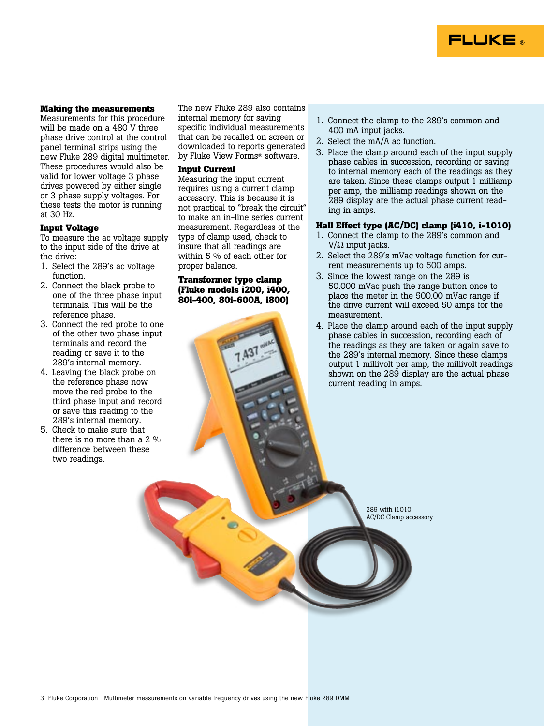

#### **Making the measurements**

Measurements for this procedure will be made on a 480 V three phase drive control at the control panel terminal strips using the new Fluke 289 digital multimeter. These procedures would also be valid for lower voltage 3 phase drives powered by either single or 3 phase supply voltages. For these tests the motor is running at 30 Hz.

#### **Input Voltage**

To measure the ac voltage supply to the input side of the drive at the drive:

- 1. Select the 289's ac voltage function.
- 2. Connect the black probe to one of the three phase input terminals. This will be the reference phase.
- 3. Connect the red probe to one of the other two phase input terminals and record the reading or save it to the 289's internal memory.
- 4. Leaving the black probe on the reference phase now move the red probe to the third phase input and record or save this reading to the 289's internal memory.
- 5. Check to make sure that there is no more than a 2 % difference between these two readings.

The new Fluke 289 also contains internal memory for saving specific individual measurements that can be recalled on screen or downloaded to reports generated by Fluke View Forms® software.

#### **Input Current**

Measuring the input current requires using a current clamp accessory. This is because it is not practical to "break the circuit" to make an in-line series current measurement. Regardless of the type of clamp used, check to insure that all readings are within 5 % of each other for proper balance.

#### **Transformer type clamp (Fluke models i200, i400, 80i-400, 80i-600A, i800)**

- 1. Connect the clamp to the 289's common and 400 mA input jacks.
- 2. Select the mA/A ac function.
- 3. Place the clamp around each of the input supply phase cables in succession, recording or saving to internal memory each of the readings as they are taken. Since these clamps output 1 milliamp per amp, the milliamp readings shown on the 289 display are the actual phase current reading in amps.

#### **Hall Effect type (AC/DC) clamp (i410, i-1010)**

- 1. Connect the clamp to the 289's common and V/ $\Omega$  input jacks.
- 2. Select the 289's mVac voltage function for current measurements up to 500 amps.
- 3. Since the lowest range on the 289 is 50.000 mVac push the range button once to place the meter in the 500.00 mVac range if the drive current will exceed 50 amps for the measurement.
- 4. Place the clamp around each of the input supply phase cables in succession, recording each of the readings as they are taken or again save to the 289's internal memory. Since these clamps output 1 millivolt per amp, the millivolt readings shown on the 289 display are the actual phase current reading in amps.

289 with i1010 AC/DC Clamp accessory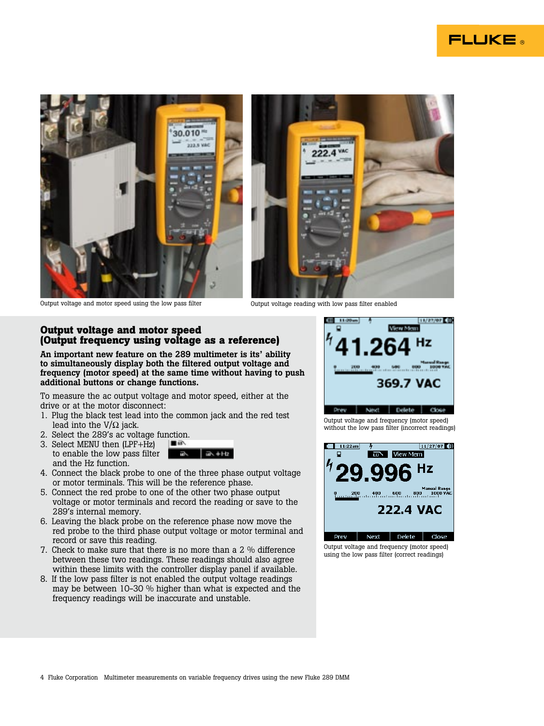







#### **Output voltage and motor speed (Output frequency using voltage as a reference)**

An important new feature on the 289 multimeter is its' ability to simultaneously display both the filtered output voltage and frequency (motor speed) at the same time without having to push additional buttons or change functions.

To measure the ac output voltage and motor speed, either at the drive or at the motor disconnect:

- 1. Plug the black test lead into the common jack and the red test lead into the  $V/\Omega$  jack.
- 2. Select the 289's ac voltage function.
- 3. Select MENU then (LPF+Hz) to enable the low pass filter and the Hz function.



- 4. Connect the black probe to one of the three phase output voltage or motor terminals. This will be the reference phase.
- 5. Connect the red probe to one of the other two phase output voltage or motor terminals and record the reading or save to the 289's internal memory.
- 6. Leaving the black probe on the reference phase now move the red probe to the third phase output voltage or motor terminal and record or save this reading.
- 7. Check to make sure that there is no more than a 2 % difference between these two readings. These readings should also agree within these limits with the controller display panel if available.
- 8. If the low pass filter is not enabled the output voltage readings may be between 10-30 % higher than what is expected and the frequency readings will be inaccurate and unstable.



without the low pass filter (incorrect readings)



Output voltage and frequency (motor speed) using the low pass filter (correct readings)